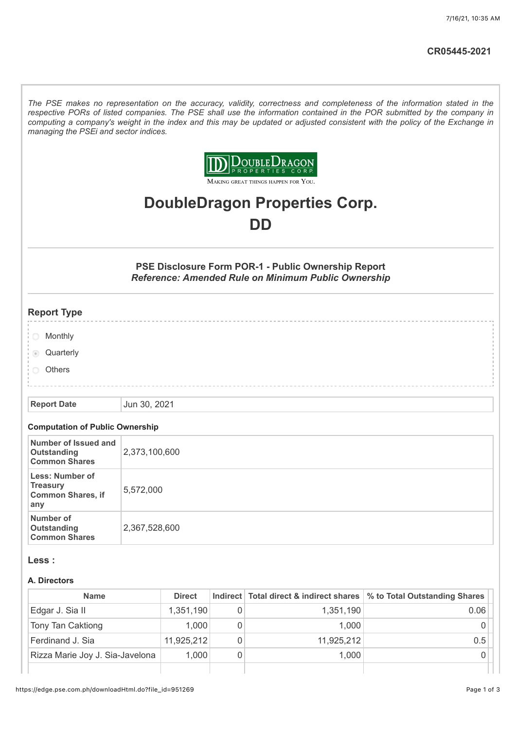*The PSE makes no representation on the accuracy, validity, correctness and completeness of the information stated in the respective PORs of listed companies. The PSE shall use the information contained in the POR submitted by the company in computing a company's weight in the index and this may be updated or adjusted consistent with the policy of the Exchange in managing the PSEi and sector indices.*



MAKING GREAT THINGS HAPPEN FOR YOU.

# **DoubleDragon Properties Corp. DD**

**PSE Disclosure Form POR-1 - Public Ownership Report** *Reference: Amended Rule on Minimum Public Ownership*

## **Report Type**

- **Monthly**
- **Quarterly**
- **Others**

**Report Date** Jun 30, 2021

#### **Computation of Public Ownership**

| Number of Issued and<br>Outstanding<br><b>Common Shares</b>           | 2,373,100,600 |
|-----------------------------------------------------------------------|---------------|
| Less: Number of<br><b>Treasury</b><br><b>Common Shares, if</b><br>any | 5,572,000     |
| <b>Number of</b><br>Outstanding<br><b>Common Shares</b>               | 2,367,528,600 |

#### **Less :**

#### **A. Directors**

| <b>Name</b>                     | <b>Direct</b> |   |            | Indirect Total direct & indirect shares   % to Total Outstanding Shares |
|---------------------------------|---------------|---|------------|-------------------------------------------------------------------------|
| Edgar J. Sia II                 | 1,351,190     |   | 1,351,190  | 0.06                                                                    |
| Tony Tan Caktiong               | 1.000         | 0 | 1.000      |                                                                         |
| Ferdinand J. Sia                | 11,925,212    |   | 11,925,212 | 0.5                                                                     |
| Rizza Marie Joy J. Sia-Javelona | 1,000         | 0 | 1.000      |                                                                         |
|                                 |               |   |            |                                                                         |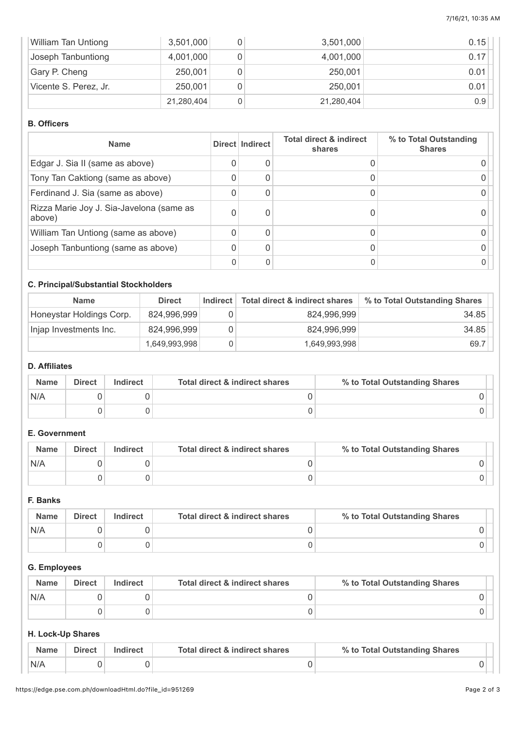| <b>William Tan Untiong</b> | 3,501,000  |   | 3,501,000  | 0.15 |
|----------------------------|------------|---|------------|------|
| Joseph Tanbuntiong         | 4,001,000  |   | 4,001,000  | 0.17 |
| Gary P. Cheng              | 250,001    |   | 250,001    | 0.01 |
| Vicente S. Perez, Jr.      | 250,001    |   | 250,001    | 0.01 |
|                            | 21,280,404 | 0 | 21,280,404 | 0.9  |

#### **B. Officers**

| <b>Name</b>                                        | Direct Indirect | <b>Total direct &amp; indirect</b><br>shares | % to Total Outstanding<br><b>Shares</b> |
|----------------------------------------------------|-----------------|----------------------------------------------|-----------------------------------------|
| Edgar J. Sia II (same as above)                    | 0               |                                              |                                         |
| Tony Tan Caktiong (same as above)                  | 0               |                                              |                                         |
| Ferdinand J. Sia (same as above)                   | 0               |                                              |                                         |
| Rizza Marie Joy J. Sia-Javelona (same as<br>above) | 0               |                                              |                                         |
| William Tan Untiong (same as above)                | 0               |                                              |                                         |
| Joseph Tanbuntiong (same as above)                 | 0               |                                              |                                         |
|                                                    | 0               |                                              |                                         |

# **C. Principal/Substantial Stockholders**

| <b>Name</b>              | <b>Direct</b> | Indirect | Total direct & indirect shares | % to Total Outstanding Shares |
|--------------------------|---------------|----------|--------------------------------|-------------------------------|
| Honeystar Holdings Corp. | 824,996,999   |          | 824,996,999                    | 34.85                         |
| Injap Investments Inc.   | 824,996,999   |          | 824,996,999                    | 34.85                         |
|                          | 1,649,993,998 |          | 1,649,993,998                  | 69.7                          |

# **D. Affiliates**

| <b>Name</b> | Direct | Indirect | Total direct & indirect shares | % to Total Outstanding Shares |
|-------------|--------|----------|--------------------------------|-------------------------------|
| N/A         |        |          |                                |                               |
|             |        |          |                                |                               |

## **E. Government**

| <b>Name</b> | <b>Direct</b> | <b>Indirect</b> | Total direct & indirect shares | % to Total Outstanding Shares |
|-------------|---------------|-----------------|--------------------------------|-------------------------------|
| N/A         |               |                 |                                |                               |
|             |               |                 |                                |                               |

# **F. Banks**

| <b>Name</b> | <b>Direct</b> | Indirect | Total direct & indirect shares | % to Total Outstanding Shares |
|-------------|---------------|----------|--------------------------------|-------------------------------|
| N/A         |               |          |                                |                               |
|             |               |          |                                |                               |

# **G. Employees**

| <b>Name</b> | <b>Direct</b> | <b>Indirect</b> | Total direct & indirect shares | % to Total Outstanding Shares |
|-------------|---------------|-----------------|--------------------------------|-------------------------------|
| N/A         |               |                 |                                |                               |
|             |               |                 |                                |                               |

# **H. Lock-Up Shares**

|     | Direct | Total direct & indirect shares | % to Total Outstanding Shares |  |
|-----|--------|--------------------------------|-------------------------------|--|
| N/A |        |                                |                               |  |